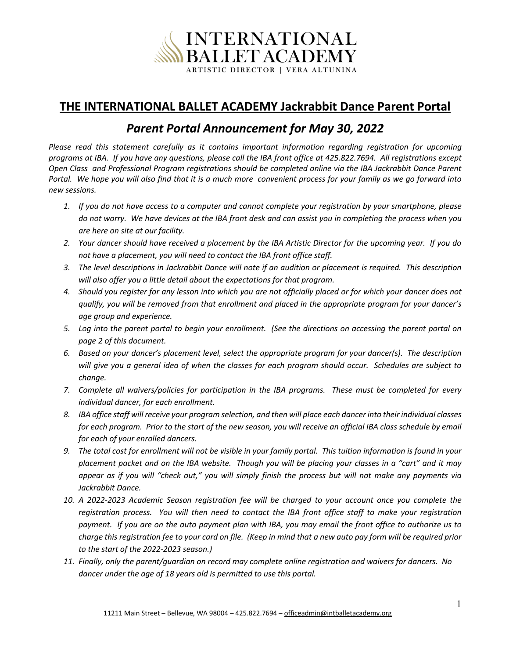

## **THE INTERNATIONAL BALLET ACADEMY Jackrabbit Dance Parent Portal**

## *Parent Portal Announcement for May 30, 2022*

*Please read this statement carefully as it contains important information regarding registration for upcoming programs at IBA. If you have any questions, please call the IBA front office at 425.822.7694. All registrations except Open Class and Professional Program registrations should be completed online via the IBA Jackrabbit Dance Parent Portal. We hope you will also find that it is a much more convenient process for your family as we go forward into new sessions.* 

- *1. If you do not have access to a computer and cannot complete your registration by your smartphone, please do not worry. We have devices at the IBA front desk and can assist you in completing the process when you are here on site at our facility.*
- *2. Your dancer should have received a placement by the IBA Artistic Director for the upcoming year. If you do not have a placement, you will need to contact the IBA front office staff.*
- *3. The level descriptions in Jackrabbit Dance will note if an audition or placement is required. This description will also offer you a little detail about the expectations for that program.*
- *4. Should you register for any lesson into which you are not officially placed or for which your dancer does not qualify, you will be removed from that enrollment and placed in the appropriate program for your dancer's age group and experience.*
- *5. Log into the parent portal to begin your enrollment. (See the directions on accessing the parent portal on page 2 of this document.*
- *6. Based on your dancer's placement level, select the appropriate program for your dancer(s). The description will give you a general idea of when the classes for each program should occur. Schedules are subject to change.*
- *7. Complete all waivers/policies for participation in the IBA programs. These must be completed for every individual dancer, for each enrollment.*
- *8. IBA office staff will receive your program selection, and then will place each dancer into their individual classes for each program. Prior to the start of the new season, you will receive an official IBA class schedule by email for each of your enrolled dancers.*
- *9. The total cost for enrollment will not be visible in your family portal. This tuition information is found in your placement packet and on the IBA website. Though you will be placing your classes in a "cart" and it may appear as if you will "check out," you will simply finish the process but will not make any payments via Jackrabbit Dance.*
- *10. A 2022-2023 Academic Season registration fee will be charged to your account once you complete the registration process. You will then need to contact the IBA front office staff to make your registration payment. If you are on the auto payment plan with IBA, you may email the front office to authorize us to charge this registration fee to your card on file. (Keep in mind that a new auto pay form will be required prior to the start of the 2022-2023 season.)*
- *11. Finally, only the parent/guardian on record may complete online registration and waivers for dancers. No dancer under the age of 18 years old is permitted to use this portal.*